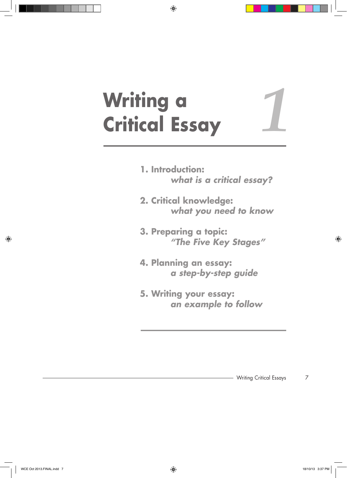# **Writing a Critical Essay**

- **1. Introduction: what is a critical essay?**
- **2. Critical knowledge: what you need to know**
- **3. Preparing a topic:** *"The Five Key Stages"*
- **4. Planning an essay:**  *a step-by-step guide*
- **5. Writing your essay:**  *an example to follow*

*1*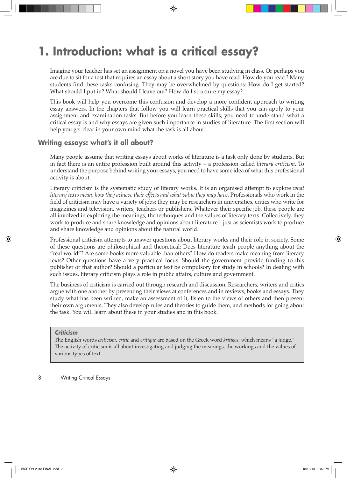## **1. Introduction: what is a critical essay?**

Imagine your teacher has set an assignment on a novel you have been studying in class. Or perhaps you are due to sit for a test that requires an essay about a short story you have read. How do you react? Many students find these tasks confusing. They may be overwhelmed by questions: How do I get started? What should I put in? What should I leave out? How do I structure my essay?

This book will help you overcome this confusion and develop a more confident approach to writing essay answers. In the chapters that follow you will learn practical skills that you can apply to your assignment and examination tasks. But before you learn these skills, you need to understand what a critical essay is and why essays are given such importance in studies of literature. The first section will help you get clear in your own mind what the task is all about.

### **Writing essays: what's it all about?**

Many people assume that writing essays about works of literature is a task only done by students. But in fact there is an entire profession built around this activity – a profession called *literary criticism*. To understand the purpose behind writing your essays, you need to have some idea of what this professional activity is about.

Literary criticism is the systematic study of literary works. It is an organised attempt to explore *what literary texts mean, how they achieve their effects and what value they may have*. Professionals who work in the field of criticism may have a variety of jobs: they may be researchers in universities, critics who write for magazines and television, writers, teachers or publishers. Whatever their specific job, these people are all involved in exploring the meanings, the techniques and the values of literary texts. Collectively, they work to produce and share knowledge and opinions about literature – just as scientists work to produce and share knowledge and opinions about the natural world.

Professional criticism attempts to answer questions about literary works and their role in society. Some of these questions are philosophical and theoretical: Does literature teach people anything about the "real world"? Are some books more valuable than others? How do readers make meaning from literary texts? Other questions have a very practical focus: Should the government provide funding to this publisher or that author? Should a particular text be compulsory for study in schools? In dealing with such issues, literary criticism plays a role in public affairs, culture and government.

The business of criticism is carried out through research and discussion. Researchers, writers and critics argue with one another by presenting their views at conferences and in reviews, books and essays. They study what has been written, make an assessment of it, listen to the views of others and then present their own arguments. They also develop rules and theories to guide them, and methods for going about the task. You will learn about these in your studies and in this book.

*Criticism*

The English words *criticism*, *critic* and *critique* are based on the Greek word *kritikos*, which means "a judge." The activity of criticism is all about investigating and judging the meanings, the workings and the values of various types of text.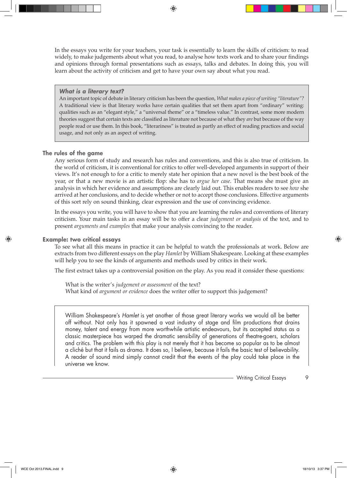In the essays you write for your teachers, your task is essentially to learn the skills of criticism: to read widely, to make judgements about what you read, to analyse how texts work and to share your findings and opinions through formal presentations such as essays, talks and debates. In doing this, you will learn about the activity of criticism and get to have your own say about what you read.

#### *What is a literary text?*

An important topic of debate in literary criticism has been the question, *What makes a piece of writing "literature"?* A traditional view is that literary works have certain qualities that set them apart from "ordinary" writing: qualities such as an "elegant style," a "universal theme" or a "timeless value." In contrast, some more modern theories suggest that certain texts are classified as literature not because of what they *are* but because of the way people read or use them. In this book, "literariness" is treated as partly an effect of reading practices and social usage, and not only as an aspect of writing.

#### **The rules of the game**

Any serious form of study and research has rules and conventions, and this is also true of criticism. In the world of criticism, it is conventional for critics to offer well-developed arguments in support of their views. It's not enough to for a critic to merely state her opinion that a new novel is the best book of the year, or that a new movie is an artistic flop: she has to *argue her case*. That means she must give an analysis in which her evidence and assumptions are clearly laid out. This enables readers to see *how* she arrived at her conclusions, and to decide whether or not to accept those conclusions. Effective arguments of this sort rely on sound thinking, clear expression and the use of convincing evidence.

In the essays you write, you will have to show that you are learning the rules and conventions of literary criticism. Your main tasks in an essay will be to offer a clear *judgement or analysis* of the text, and to present *arguments and examples* that make your analysis convincing to the reader.

#### **Example: two critical essays**

To see what all this means in practice it can be helpful to watch the professionals at work. Below are extracts from two different essays on the play *Hamlet* by William Shakespeare. Looking at these examples will help you to see the kinds of arguments and methods used by critics in their work.

The first extract takes up a controversial position on the play. As you read it consider these questions:

 What is the writer's *judgement or assessment* of the text? What kind of *argument or evidence* does the writer offer to support this judgement?

William Shakespeare's *Hamlet* is yet another of those great literary works we would all be better off without. Not only has it spawned a vast industry of stage and film productions that drains money, talent and energy from more worthwhile artistic endeavours, but its accepted status as a classic masterpiece has warped the dramatic sensibility of generations of theatre-goers, scholars and critics. The problem with this play is not merely that it has become so popular as to be almost a cliché but that it fails as drama. It does so, I believe, because it fails the basic test of believability. A reader of sound mind simply cannot credit that the events of the play could take place in the universe we know.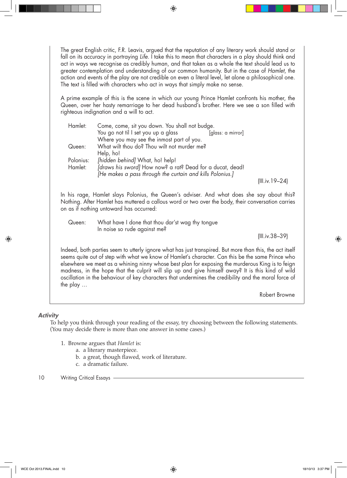The great English critic, F.R. Leavis, argued that the reputation of any literary work should stand or fall on its accuracy in portraying *Life*. I take this to mean that characters in a play should think and act in ways we recognise as credibly human, and that taken as a whole the text should lead us to greater contemplation and understanding of our common humanity. But in the case of *Hamlet*, the action and events of the play are not credible on even a literal level, let alone a philosophical one. The text is filled with characters who act in ways that simply make no sense.

A prime example of this is the scene in which our young Prince Hamlet confronts his mother, the Queen, over her hasty remarriage to her dead husband's brother. Here we see a son filled with righteous indignation and a will to act.

| Hamlet:   | Come, come, sit you down. You shall not budge.            |                 |  |
|-----------|-----------------------------------------------------------|-----------------|--|
|           | You go not til I set you up a glass<br>[glass: a mirror]  |                 |  |
|           | Where you may see the inmost part of you.                 |                 |  |
| Queen:    | What wilt thou do? Thou wilt not murder me?               |                 |  |
|           | Help, ho!                                                 |                 |  |
| Polonius: | [hidden behind] What, ho! help!                           |                 |  |
| Hamlet:   | Jdraws his sword] How now? a rat? Dead for a ducat, dead! |                 |  |
|           | [He makes a pass through the curtain and kills Polonius.] |                 |  |
|           |                                                           | (III.iv. 19–24) |  |

In his rage, Hamlet slays Polonius, the Queen's adviser. And what does she say about this? Nothing. After Hamlet has muttered a callous word or two over the body, their conversation carries on as if nothing untoward has occurred:

 Queen: What have I done that thou dar'st wag thy tongue In noise so rude against me?

(III.iv.38–39)

Indeed, both parties seem to utterly ignore what has just transpired. But more than this, the act itself seems quite out of step with what we know of Hamlet's character. Can this be the same Prince who elsewhere we meet as a whining ninny whose best plan for exposing the murderous King is to feign madness, in the hope that the culprit will slip up and give himself away? It is this kind of wild oscillation in the behaviour of key characters that undermines the credibility and the moral force of the play …

Robert Browne

#### *Activity*

To help you think through your reading of the essay, try choosing between the following statements. (You may decide there is more than one answer in some cases.)

- 1. Browne argues that *Hamlet* is:
	- a. a literary masterpiece.
	- b. a great, though flawed, work of literature.
	- c. a dramatic failure.

#### 10 Writing Critical Essays -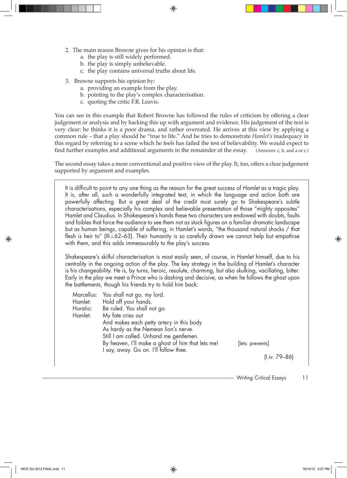- 2. The main reason Browne gives for his opinion is that:
	- a. the play is still widely performed.
	- b. the play is simply unbelievable.
	- c. the play contains universal truths about life.
- 3. Browne supports his opinion by:
	- a. providing an example from the play.
	- b. pointing to the play's complex characterisation.
	- c. quoting the critic F.R. Leavis.

You can see in this example that Robert Browne has followed the rules of criticism by offering a clear judgement or analysis and by backing this up with argument and evidence. His judgement of the text is very clear: he thinks it is a poor drama, and rather overrated. He arrives at this view by applying a common rule – that a play should be "true to life." And he tries to demonstrate *Hamlet's* inadequacy in this regard by referring to a scene which he feels has failed the test of believability. We would expect to find further examples and additional arguments in the remainder of the essay. (Answers: c, b, and a or c.)

The second essay takes a more conventional and positive view of the play. It, too, offers a clear judgement supported by argument and examples.

It is difficult to point to any one thing as the reason for the great success of *Hamlet* as a tragic play. It is, after all, such a wonderfully integrated text, in which the language and action both are powerfully affecting. But a great deal of the credit must surely go to Shakespeare's subtle characterisations, especially his complex and believable presentation of those "mighty opposites" Hamlet and Claudius. In Shakespeare's hands these two characters are endowed with doubts, faults and foibles that force the audience to see them not as stock figures on a familiar dramatic landscape but as human beings, capable of suffering, in Hamlet's words, "the thousand natural shocks / that flesh is heir to" (III.i.62–63). Their humanity is so carefully drawn we cannot help but empathise with them, and this adds immeasurably to the play's success.

Shakespeare's skilful characterisation is most easily seen, of course, in Hamlet himself, due to his centrality in the ongoing action of the play. The key strategy in the building of Hamlet's character is his changeability. He is, by turns, heroic, resolute, charming, but also skulking, vacillating, bitter. Early in the play we meet a Prince who is dashing and decisive, as when he follows the ghost upon the battlements, though his friends try to hold him back:

|          | Marcellus: You shall not go, my lord.             |                  |
|----------|---------------------------------------------------|------------------|
| Hamlet:  | Hold off your hands.                              |                  |
| Horatio: | Be ruled. You shall not go.                       |                  |
| Hamlet:  | My fate cries out                                 |                  |
|          | And makes each petty artery in this body          |                  |
|          | As hardy as the Nemean lion's nerve.              |                  |
|          | Still I am called. Unhand me gentlemen.           |                  |
|          | By heaven, I'll make a ghost of him that lets me! | [lets: prevents] |
|          | I say, away. Go on. I'll follow thee.             |                  |
|          |                                                   | (l.iv. 79–86)    |
|          |                                                   |                  |

Writing Critical Essays 11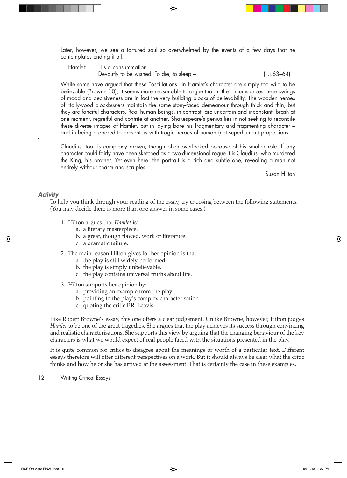Later, however, we see a tortured soul so overwhelmed by the events of a few days that he contemplates ending it all:

 Hamlet: 'Tis a consummation Devoutly to be wished. To die, to sleep – (II.i.63–64)

While some have argued that these "oscillations" in Hamlet's character are simply too wild to be believable (Browne 10), it seems more reasonable to argue that in the circumstances these swings of mood and decisiveness are in fact the very building blocks of believability. The wooden heroes of Hollywood blockbusters maintain the same stony-faced demeanour through thick and thin; but they are fanciful characters. Real human beings, in contrast, are uncertain and inconstant: brash at one moment, regretful and contrite at another. Shakespeare's genius lies in not seeking to reconcile these diverse images of Hamlet, but in laying bare his fragmentary and fragmenting character – and in being prepared to present us with tragic heroes of human (not superhuman) proportions.

Claudius, too, is complexly drawn, though often overlooked because of his smaller role. If any character could fairly have been sketched as a two-dimensional rogue it is Claudius, who murdered the King, his brother. Yet even here, the portrait is a rich and subtle one, revealing a man not entirely without charm and scruples …

Susan Hilton

#### *Activity*

To help you think through your reading of the essay, try choosing between the following statements. (You may decide there is more than one answer in some cases.)

- 1. Hilton argues that *Hamlet* is:
	- a. a literary masterpiece.
	- b. a great, though flawed, work of literature.
	- c. a dramatic failure.
- 2. The main reason Hilton gives for her opinion is that:
	- a. the play is still widely performed.
	- b. the play is simply unbelievable.
	- c. the play contains universal truths about life.
- 3. Hilton supports her opinion by:
	- a. providing an example from the play.
	- b. pointing to the play's complex characterisation.
	- c. quoting the critic F.R. Leavis.

Like Robert Browne's essay, this one offers a clear judgement. Unlike Browne, however, Hilton judges *Hamlet* to be one of the great tragedies. She argues that the play achieves its success through convincing and realistic characterisations. She supports this view by arguing that the changing behaviour of the key characters is what we would expect of real people faced with the situations presented in the play.

It is quite common for critics to disagree about the meanings or worth of a particular text. Different essays therefore will offer different perspectives on a work. But it should always be clear what the critic thinks and how he or she has arrived at the assessment. That is certainly the case in these examples.